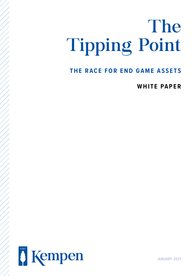# The Tipping Point

# **THE RACE FOR END GAME ASSETS**

**WHITE PAPER**



JANUARY 2021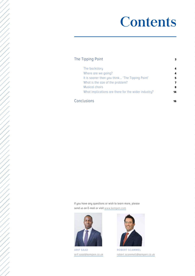# **Contents**

| The Tipping Point                                   |    |  |
|-----------------------------------------------------|----|--|
| The backstory                                       | 4  |  |
| Where are we going?                                 | 4  |  |
| It is sooner than you think 'The Tipping Point'     | 5  |  |
| What is the size of the problem?                    | 7  |  |
| Musical chairs                                      | 8  |  |
| What implications are there for the wider industry? | 14 |  |
| Conclusions                                         | 16 |  |

If you have any questions or wish to learn more, please send us an E-mail or visit [www.kempen.](http://www.kempen.nl)com



**ARIF SAAD**  arif.saad@kempen.co.uk



**ROBERT SCAMMEL** robert.scammell@kempen.co.uk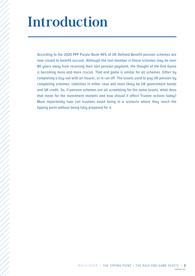# <span id="page-2-0"></span>Introduction

According to the 2020 PPF Purple Book 46% of UK Defined Benefit pension schemes are now closed to benefit accrual. Although the last member in those schemes may be over 80 years away from receiving their last pension payment, the thought of the End Game is becoming more and more crucial. That end game is similar for all schemes. Either by completing a buy-out with an insurer, or in run off. The assets used to pay UK pension by completing schemes' liabilities in either case will most likely be UK government bonds and UK credit. So, if pension schemes are all scrambling for the same assets, what does that mean for the investment markets and how should it affect Trustee actions today? More importantly how can trustees avoid being in a scenario where they reach the tipping point without being fully prepared for it.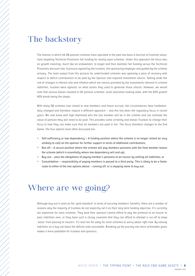# <span id="page-3-0"></span>The backstory

The manner in which UK DB pension schemes have operated in the past has been a function of triennial valuations targeting Technical Provisions full funding for mostly open schemes. Under this approach the focus was on growth investing, much like an endowment, to target and then maintain full funding versus the Technical Provisions discount rate. A process agreed by the trustees, the sponsoring employer and guided by the scheme actuary. The main output from this process for underfunded schemes was agreeing a pace of recovery with respect to deficit contributions to be paid by the Sponsor and required investment returns. Setting aside the risk of changes in interest rate and inflation which are returns provided by the investments inherent in scheme liabilities, trustees were agnostic on what assets they used to generate those returns. However, we would note that various biases resulted in UK pension schemes' asset allocation looking alike, with the 60% growth 40% bonds being the staple.

With many DB schemes now closed to new members and future accrual, the circumstances have fundamentally changed and therefore require a different approach – and this has been the regulatory focus in recent years. We now know with high likelihood who the last member will be in the scheme and can estimate the value of pension they will need to be paid. This provides some certainty and allows Trustees to change their focus to how they can make sure that all members are paid in full. The focus therefore changes to the End Game. The four options most often discussed are:

- $\times$  Self-sufficiency or low-dependency A funding position where the scheme is no longer reliant (or very unlikely to call) on the sponsor for further support in terms of additional contributions;
- $\times$  Run off A secure position where the scheme will pay members pensions until the final member leaves the scheme (which is essentially where low dependency will end up);
- $\times$  Buy-out pass the obligations of paying member's pensions to an insurer by settling all liabilities; or
- $\times$  Consolidation responsibility of paying members is passed to a third party. This is likely to be a faster route to either of the two options above – running off, or a stepping stone to buy-out.

# Where are we going?

Although buy-out is seen as the 'gold standard' in terms of securing members' benefits, there are a number of reasons why the majority of trustees do not explicitly set it as their long term funding objective. It's currently too expensive for most schemes. They (and their sponsor) cannot afford to pay the premium to an insurer to pass liabilities over, or they have such a strong covenant that they can afford to attempt a run-off to keep 'value' from passing to insurers. It's also too far away for most schemes to worry about right now. By valuing liabilities on a buy-out basis the deficits look unscalable. Breaking up the journey into more achievable goals makes it more palatable for trustees and sponsors.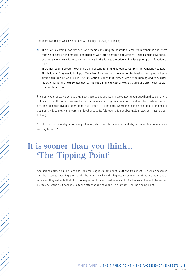<span id="page-4-0"></span>There are two things which we believe will change this way of thinking:

- $\times$  The price is 'coming towards' pension schemes. Insuring the benefits of deferred members is expensive relative to pensioner members. For schemes with large deferred populations, it seems expensive today, but these members will become pensioners in the future; the price will reduce purely as a function of time.
- There has been a greater level of scrutiny of long-term funding objectives from the Pensions Regulator. This is forcing Trustees to look past Technical Provisions and have a greater level of clarity around selfsufficiency / run-off or buy-out. The first option implies that trustees are happy running and administering schemes for the next 50 plus years. This has a financial cost as well as a time and effort cost (as well as operational risks).

From our experience, we believe that most trustees and sponsors will eventually buy-out when they can afford it. For sponsors this would remove the pension scheme liability from their balance sheet. For trustees this will pass the administrative and operational risk burden to a third party where they can be confident their member payments will be met with a very high level of security (although still not absolutely protected – insurers can fail too).

So if buy-out is the end goal for many schemes, what does this mean for markets, and what timeframe are we working towards?

# It is sooner than you think... 'The Tipping Point'

Analysis completed by The Pensions Regulator suggests that benefit outflows from most DB pension schemes may be close to reaching their peak, the point at which the highest amount of pensions are paid out of schemes. They estimate that almost one quarter of the accrued benefits of DB schemes will need to be settled by the end of the next decade due to the effect of ageing alone. This is what I call the tipping point.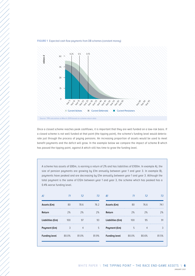

**FIGURE 1** Expected cash flow payments from DB schemes (constant money)

Once a closed scheme reaches peak cashflows, it is important that they are well funded on a low-risk basis. If a closed scheme is not well funded at that point (the tipping point), the scheme's funding level would deteriorate just through the process of paying pensions. An increasing proportion of assets would be used to meet benefit payments and the deficit will grow. In the example below we compare the impact of scheme B which has passed the tipping point, against A which still has time to grow the funding level.

A scheme has assets of £80m, is earning a return of 2% and has liabilities of £100m. In example A), the size of pension payments are growing by £1m annually between year 1 and year 3. In example B), payments have peaked and are decreasing by £1m annually between year 1 and year 3. Although the total payment is the same of £12m between year 1 and year 3, the scheme which has peaked has a 0.4% worse funding level.

| А                    | T1    | T <sub>2</sub> | T3        | B)                      | T1    | T <sub>2</sub> | Т3    |
|----------------------|-------|----------------|-----------|-------------------------|-------|----------------|-------|
| Assets (£m)          | 80    | 78.6           | 76.2<br>. | Assets (£m)             | 80    | 76.6           | 74.1  |
| Return               | 2%    | 2%<br>.        | 2%<br>    | Return                  | 2%    | 2%             | 2%    |
| Liabilities (£m)     | 100   | 97             | 93        | Liabilities (£m)<br>. . | 100   | 95             | 91    |
| Payment (£m)         | 3     | 4              | 5         | Payment (£m)<br>        | 5     | 4              |       |
| <b>Funding level</b> | 80.0% | 81.0%          | 81.9%     | <b>Funding level</b>    | 80.0% | 80.6%          | 81.5% |
|                      |       |                |           |                         |       |                |       |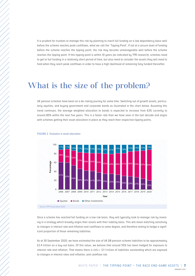<span id="page-6-0"></span>

It is prudent for trustees to manage this risk by planning to reach full funding on a low dependency basis well before the scheme reaches peak cashflows, what we call the 'Tipping Point'. If not at a secure level of funding before the scheme reaches the tipping point, the risk may become unmanageable well before the scheme reaches the tipping point. If this tipping point is within 10 years (as indicated by TPR research), schemes need to get to full funding in a relatively short period of time, but also need to consider the assets they will need to hold when they reach peak cashflows in order to have a high likelihood of remaining fully funded thereafter.

# What is the size of the problem?

UK pension schemes have been on a de-risking journey for some time. Switching out of growth assets, particularly equities, and buying government and corporate bonds as illustrated in the chart below. Assuming this trend continues, the average weighted allocation to bonds is expected to increase from 63% currently to around 80% within the next five years. This is a faster rate than we have seen in the last decade and aligns with schemes getting their asset allocation in place as they reach their respective tipping points.



### **FIGURE 2** Evolution in asset allocation

Once a scheme has reached full funding on a low risk basis, they will typically look to manage risk by investing in a strategy which broadly aligns their assets with their liability basis. This will mean matching sensitivity to changes in interest rate and inflation and cashflows to some degree, and therefore aiming to hedge a significant proportion of those remaining liabilities.

As at 30 September 2020, we have estimated the size of UK DB pension scheme liabilities to be approximately £2.4 trillion on a buy-out basis. Of this value, we believe that around 55% has been hedged for exposure to interest rate and inflation. That means there is still c. £1.1 trillion of liabilities outstanding which are exposed to changes in interest rates and inflation, and cashflow risk.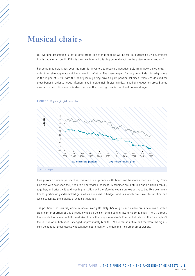# <span id="page-7-0"></span>Musical chairs

Our working assumption is that a large proportion of that hedging will be met by purchasing UK government bonds and sterling credit. If this is the case, how will this play out and what are the potential ramifications?

For some time now it has been the norm for investors to receive a negative yield from index linked gilts, in order to receive payments which are linked to inflation. The average yield for long dated index-linked gilts are in the region of -2.5%, with this oddity mainly being driven by UK pension schemes' relentless demand for these bonds in order to hedge inflation-linked liability risk. Typically index-linked gilts at auction are 2-3 times oversubscribed. This demand is structural and the capacity issue is a real and present danger.



### **FIGURE 3** 20 year gilt yield evolution

Purely from a demand perspective, this will drive up prices – UK bonds will be more expensive to buy. Combine this with how soon they need to be purchased, as most UK schemes are maturing and de-risking rapidly together, and prices will be driven higher still. It will therefore be even more expensive to buy UK government bonds, particularly index-linked gilts which are used to hedge liabilities which are linked to inflation and which constitute the majority of scheme liabilities.

The position is particularly acute in index-linked gilts. Only 32% of gilts in issuance are index-linked, with a significant proportion of this already owned by pension schemes and insurance companies. The UK already has double the amount of inflation-linked bonds than anywhere else in Europe, but this is still not enough. Of the £1.1 trillion of liabilities unhedged, approximately 60% to 70% are real in nature and therefore the significant demand for these assets will continue, not to mention the demand from other asset owners.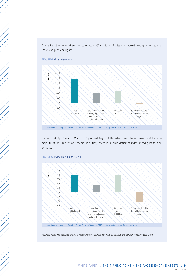At the headline level, there are currently c. £2.4 trillion of gilts and index-linked gilts in issue, so there's no problem, right?





It's not so straightforward. When looking at hedging liabilities which are inflation linked (which are the majority of UK DB pension scheme liabilities), there is a large deficit of index-linked gilts to meet demand.



**FIGURE 5** Index-linked gilts issued

Source: Kempen, using data from PPF Purple Book 2020 and the DMO quarterly review June – September 2020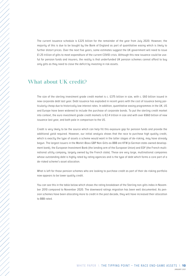The current issuance schedule is £225 billion for the remainder of the year from July 2020. However, the majority of this is due to be bought by the Bank of England as part of quantitative easing which is likely to further distort prices. Over the next five years, some estimates suggest the UK government will need to issue £1.25 trillion of gilts to meet expenditure of the current COVID crisis. Although this new issuance could be useful for pension funds and insurers, the reality is that underfunded UK pension schemes cannot afford to buy only gilts as they need to close the deficit by investing in risk assets.

## What about UK credit?

The size of the sterling investment grade credit market is c. £375 billion in size, with c. £60 billion issued in new corporate debt last year. Debt issuance has exploded in recent years with the cost of issuance being particularly cheap due to historically low interest rates. In addition, quantitative easing programmes in the UK, US and Europe have been widened to include the purchase of corporate bonds. To put the sterling credit market into context, the euro investment grade credit markets is €2.4 trillion in size and with over €660 billion of new issuance last year, and both pale in comparison to the US.

Credit is very likely to be the source which can help fill this exposure gap for pension funds and provide the additional yield required. However, our initial analysis shows that the race to purchase high quality credit, which is exactly the type of assets a scheme would want in the latter stages of de-risking, may have already begun. The largest issuers in the Markit iBoxx GBP Non-Gilts ex-BBB are KFW (a German state-owned development bank), the European Investment Bank (the lending arm of the European Union) and EDF (the French multinational utility company, largely owned by the French state). These are very large, multinational companies whose outstanding debt is highly rated by rating agencies and is the type of debt which forms a core part of a de-risked scheme's asset allocation.

What is left for those pension schemes who are looking to purchase credit as part of their de-risking portfolio now appears to be lower quality credit.

You can see this in the table below which shows the rating breakdown of the Sterling non-gilts index in November 2010 compared to November 2020. The downward ratings migration has been well documented. As pension schemes have been allocating more to credit in the past decade, they will have increased their allocation to BBB rated.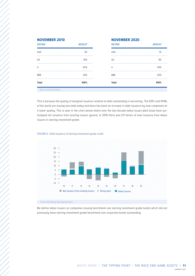| <b>Total</b>  | 100%   | Total          | 100%   |
|---------------|--------|----------------|--------|
| <b>BBB</b>    | 28%    | <b>BBB</b>     | 50%    |
| A             | 50%    | $\overline{A}$ | 40%    |
| AA            | 18%    | AA             | 8%     |
| AAA           | 4%     | AAA            | 1%     |
| <b>RAIING</b> | WEIGHT | <b>RAIING</b>  | WEIGHI |

| Total         | 100%          | Total         | 100%          |
|---------------|---------------|---------------|---------------|
| <b>BBB</b>    | 28%           | <b>BBB</b>    | 50%           |
| Α             | 50%           | A             | 40%           |
| AA            | 18%           | AA            | 8%            |
| AAA           | 4%            | AAA           | 1%            |
| <b>RATING</b> | <b>WEIGHT</b> | <b>RATING</b> | <b>WEIGHT</b> |

Source: ICE bond indices

This is because the quality of marginal issuance relative to debt outstanding is worsening. The EDFs and KFWs of the world are issuing less debt today and there has been an increase in debt issuance by new companies at a lower quality. This is seen in the chart below where over the last decade debut issues (dark blue) have outstripped net issuance from existing issuers (green). In 2019 there was £11 billion of new issuance from debut issuers in sterling investment grade.

### **FIGURE 6** Debt issuance of sterling investment grade credit



Source: Bloomberg, Barclays Research

We define debut issuers as companies issuing benchmark size sterling investment grade bonds which did not previously have sterling investment grade benchmark size corporate bonds outstanding.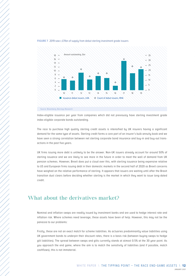

### **FIGURE 7** 2019 saw c.£11bn of supply from debut sterling investment grade issuers

Index-eligible issuance per year from companies which did not previously have sterling investment grade index eligible corporate bonds outstanding.

The race to purchase high quality sterling credit assets is intensified by UK insurers having a significant demand for the same type of assets. Sterling credit forms a core part of an insurer's bulk annuity book and we have seen a strong correlation between net sterling corporate bond insurance and buy-in and buy-out transactions in the past five years.

UK firms issuing more debt is unlikely to be the answer. Non-UK issuers already account for around 50% of sterling issuance and we are likely to see more in the future in order to meet the wall of demand from UK pension schemes. However, Brexit does put a cloud over this, with sterling issuance being expensive relative to US and European firms issuing debt in their domestic markets in the second half of 2020 as Brexit concerns have weighed on the relative performance of sterling. It appears that issuers are waiting until after the Brexit transition dust clears before deciding whether sterling is the market in which they want to issue long-dated credit.

## What about the derivatives market?

Nominal and inflation swaps are readily issued by investment banks and are used to hedge interest rate and inflation risk. Where schemes need leverage, these assets have been of help. However, this may not be the panacea to our problems:

Firstly, these are not an exact match for scheme liabilities. As actuaries predominantly value liabilities using UK government bonds to underpin their discount rates, there is a basis risk (between buying swaps to hedge gilt liabilities). The spread between swaps and gilts currently stands at almost 0.5% at the 30 year point. As you approach the end game, where the aim is to match the sensitivity of liabilities (and if possible, match cashflows), this is not immaterial.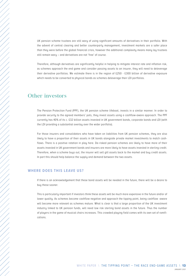UK pension scheme trustees are still wary of using significant amounts of derivatives in their portfolio. With the advent of central clearing and better counterparty management, investment markets are a safer place than they were before the global financial crisis, however the additional complexity means many lay trustees still remain wary – and derivatives are not 'free' of course.

Therefore, although derivatives are significantly helpful in helping to mitigate interest rate and inflation risk, as schemes approach the end game and consider passing assets to an insurer, they will need to deleverage their derivative portfolios. We estimate there is in the region of £250 - £300 billion of derivative exposure which needs to be converted to physical bonds as schemes deleverage their LDI portfolios.

## Other investors

The Pension Protection Fund (PPF), the UK pension scheme lifeboat, invests in a similar manner. In order to provide security to the agreed members' pots, they invest assets using a cashflow-aware approach. The PPF currently has 40% of its c. £32 billion assets invested in UK government bonds, corporate bonds and LDI (with the LDI providing a substantial overlay over the wider portfolio).

For those insurers and consolidators who have taken on liabilities from UK pension schemes, they are also likely to have a proportion of their assets in UK bonds alongside private market investments to match cashflows. There is a positive rotation in play here. De-risked pension schemes are likely to have more of their assets invested in UK government bonds and insurers are more likely to have assets invested in sterling credit. Therefore, when a scheme buys out, the insurer will sell gilt assets back to the market and buy credit assets. In part this should help balance the supply and demand between the two assets.

### **WHERE DOES THIS LEAVE US?**

If there is an acknowledgement that these bond assets will be needed in the future, there will be a desire to buy these sooner.

This is particularly important if investors think these assets will be much more expensive in the future and/or of lower quality. As schemes become cashflow negative and approach the tipping point, being cashflow -aware will become more relevant as schemes mature. What is clear is that a large proportion of the UK investment industry linked to UK pension funds, will need low risk sterling bond assets in the future. Thus the number of players in the game of musical chairs increases. This crowded playing field comes with its own set of ramifications.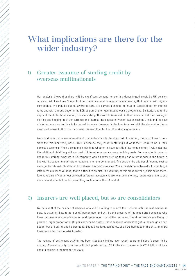# <span id="page-13-0"></span>What implications are there for the wider industry?

## 1) Greater issuance of sterling credit by overseas multinationals

Our analysis shows that there will be significant demand for sterling denominated credit by UK pension schemes. What we haven't seen to date is American and European issuers meeting that demand with significant supply. This may be due to several factors. It is currently cheaper to issue in Europe at current interest rates and with a ready buyer in the ECB as part of their quantitative easing programme. Similarly, due to the depth of the dollar bond market, it is more straightforward to issue debt in their home market than issuing in sterling and hedging back the currency and interest rate exposure. Present issues such as Brexit and the cost of sterling are also barriers to increased issuance. However, in the long term we think the demand for these assets will make it attractive for overseas issuers to enter the UK market in greater size.

We would note that when international companies consider issuing credit in sterling, they also have to consider the 'cross-currency basis'. This is because they issue in sterling but want their return to be in their domestic currency. When a company is deciding whether to issue outside of its home market, it will calculate the additional yield they will earn net of interest rate and currency hedging costs. For example, in order to hedge this sterling exposure, a US corporate would borrow sterling today and return it back in the future in line with its coupon and principle repayments on the bond issued. The basis is the additional hedging cost to manage the interest rate differential between the two currencies. When the debt to be issued is long dated, it introduces a level of volatility that is difficult to predict. The volatility of this cross-currency basis could therefore have a significant effect on whether foreign investors choose to issue in sterling, regardless of the strong demand and potential credit spread they could earn in the UK market.

## 2) Insurers are well placed, but so are consolidators

We believe that the number of schemes who will be willing to run-off their scheme until the last member is paid, is actually likely to be a small percentage, and will be the preserve of the mega-sized schemes who have the governance, administration and operational capabilities to do so. Therefore insurers are likely to garner a larger proportion of UK pension scheme assets. Those schemes which have got to the end game and bought out are still a small percentage. Legal & General estimates, of all DB liabilities in the U.K., only 8% have transacted pension-risk transfers.

The volume of settlement activity has been steadily climbing over recent years and doesn't seem to be abating. Current activity is in line with that predicted by LCP in the chart below with £12.6 billion of bulk annuity volume in the first half of 2020.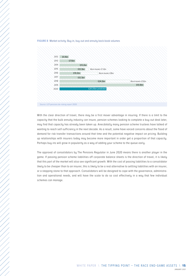



With the clear direction of travel, there may be a first mover advantage in insuring. If there is a limit to the capacity that the bulk annuity industry can insure, pension schemes looking to complete a buy-out deal later, may find that capacity has already been taken up. Anecdotally many pension scheme trustees have talked of wanting to reach self-sufficiency in the next decade. As a result, some have voiced concerns about the flood of demand for risk transfer transactions around that time and the potential negative impact on pricing. Building up relationships with insurers today may become more important in order get a proportion of that capacity.

The approval of consolidators by The Pensions Regulator in June 2020 means there is another player in the game. If passing pension scheme liabilities off corporate balance sheets is the direction of travel, it is likely that this part of the market will also see significant growth. With the cost of passing liabilities to a consolidator likely to be cheaper than to an insurer, this is likely to be a real alternative to settling liabilities with an insurer, or a stepping stone to that approach. Consolidators will be designed to cope with the governance, administration and operational needs, and will have the scale to do so cost effectively in a way that few individual schemes can manage.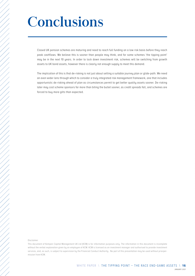# <span id="page-15-0"></span>**Conclusions**

Closed UK pension schemes are maturing and need to reach full funding on a low risk basis before they reach peak cashflows. We believe this is sooner than people may think, and for some schemes 'the tipping point' may be in the next 10 years. In order to lock down investment risk, schemes will be switching from growth assets to UK bond assets, however there is clearly not enough supply to meet this demand.

The implication of this is that de-risking is not just about setting a suitable journey plan or glide-path. We need an even wider lens through which to consider a truly integrated risk management framework, one that includes opportunistic de-risking ahead of plan as circumstances permit to get better quality assets sooner. De-risking later may cost scheme sponsors far more than biting the bullet sooner, as credit spreads fall, and schemes are forced to buy more gilts than expected.

### Disclaimer

This document of Kempen Capital Management UK Ltd (KCM) is for information purposes only. The information in this document is incomplete without the verbal explanation given by an employee of KCM. KCM is licensed as an investment manager and authorised to provide investment services, and, as such, is subject to supervision by the Financial Conduct Authority. No part of this presentation may be used without priorpermission from KCM.